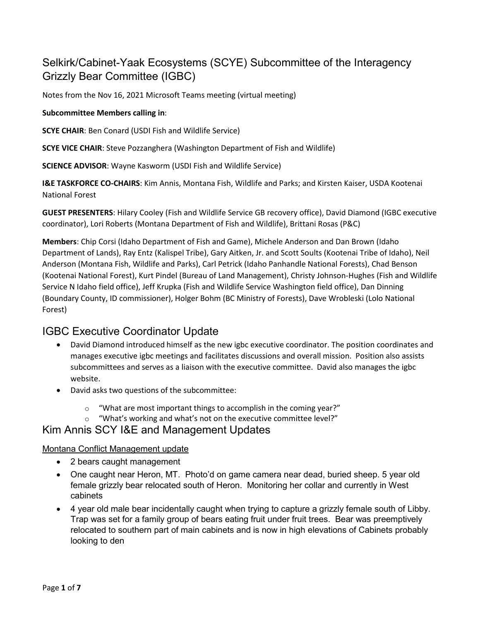# Selkirk/Cabinet-Yaak Ecosystems (SCYE) Subcommittee of the Interagency Grizzly Bear Committee (IGBC)

Notes from the Nov 16, 2021 Microsoft Teams meeting (virtual meeting)

#### **Subcommittee Members calling in**:

**SCYE CHAIR**: Ben Conard (USDI Fish and Wildlife Service)

**SCYE VICE CHAIR**: Steve Pozzanghera (Washington Department of Fish and Wildlife)

**SCIENCE ADVISOR**: Wayne Kasworm (USDI Fish and Wildlife Service)

**I&E TASKFORCE CO-CHAIRS**: Kim Annis, Montana Fish, Wildlife and Parks; and Kirsten Kaiser, USDA Kootenai National Forest

**GUEST PRESENTERS**: Hilary Cooley (Fish and Wildlife Service GB recovery office), David Diamond (IGBC executive coordinator), Lori Roberts (Montana Department of Fish and Wildlife), Brittani Rosas (P&C)

**Members**: Chip Corsi (Idaho Department of Fish and Game), Michele Anderson and Dan Brown (Idaho Department of Lands), Ray Entz (Kalispel Tribe), Gary Aitken, Jr. and Scott Soults (Kootenai Tribe of Idaho), Neil Anderson (Montana Fish, Wildlife and Parks), Carl Petrick (Idaho Panhandle National Forests), Chad Benson (Kootenai National Forest), Kurt Pindel (Bureau of Land Management), Christy Johnson-Hughes (Fish and Wildlife Service N Idaho field office), Jeff Krupka (Fish and Wildlife Service Washington field office), Dan Dinning (Boundary County, ID commissioner), Holger Bohm (BC Ministry of Forests), Dave Wrobleski (Lolo National Forest)

## IGBC Executive Coordinator Update

- David Diamond introduced himself as the new igbc executive coordinator. The position coordinates and manages executive igbc meetings and facilitates discussions and overall mission. Position also assists subcommittees and serves as a liaison with the executive committee. David also manages the igbc website.
- David asks two questions of the subcommittee:
	- $\circ$  "What are most important things to accomplish in the coming year?"
	- o "What's working and what's not on the executive committee level?"

## Kim Annis SCY I&E and Management Updates

## Montana Conflict Management update

- 2 bears caught management
- One caught near Heron, MT. Photo'd on game camera near dead, buried sheep. 5 year old female grizzly bear relocated south of Heron. Monitoring her collar and currently in West cabinets
- 4 year old male bear incidentally caught when trying to capture a grizzly female south of Libby. Trap was set for a family group of bears eating fruit under fruit trees. Bear was preemptively relocated to southern part of main cabinets and is now in high elevations of Cabinets probably looking to den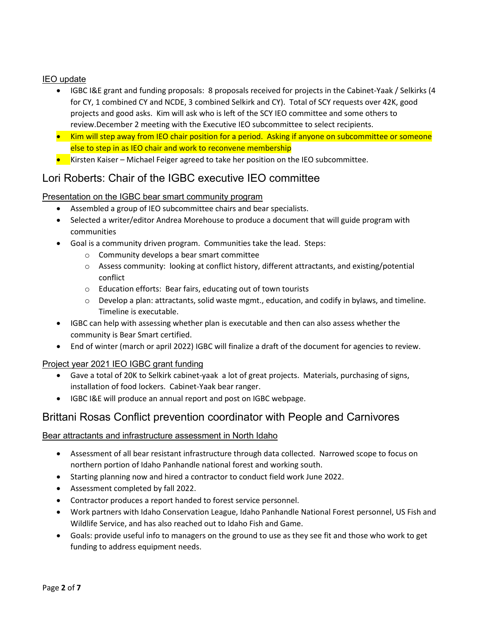## IEO update

- IGBC I&E grant and funding proposals: 8 proposals received for projects in the Cabinet-Yaak / Selkirks (4 for CY, 1 combined CY and NCDE, 3 combined Selkirk and CY). Total of SCY requests over 42K, good projects and good asks. Kim will ask who is left of the SCY IEO committee and some others to review.December 2 meeting with the Executive IEO subcommittee to select recipients.
- Kim will step away from IEO chair position for a period. Asking if anyone on subcommittee or someone else to step in as IEO chair and work to reconvene membership
- Kirsten Kaiser Michael Feiger agreed to take her position on the IEO subcommittee.

# Lori Roberts: Chair of the IGBC executive IEO committee

## Presentation on the IGBC bear smart community program

- Assembled a group of IEO subcommittee chairs and bear specialists.
- Selected a writer/editor Andrea Morehouse to produce a document that will guide program with communities
- Goal is a community driven program. Communities take the lead. Steps:
	- o Community develops a bear smart committee
	- $\circ$  Assess community: looking at conflict history, different attractants, and existing/potential conflict
	- o Education efforts: Bear fairs, educating out of town tourists
	- $\circ$  Develop a plan: attractants, solid waste mgmt., education, and codify in bylaws, and timeline. Timeline is executable.
- IGBC can help with assessing whether plan is executable and then can also assess whether the community is Bear Smart certified.
- End of winter (march or april 2022) IGBC will finalize a draft of the document for agencies to review.

## Project year 2021 IEO IGBC grant funding

- Gave a total of 20K to Selkirk cabinet-yaak a lot of great projects. Materials, purchasing of signs, installation of food lockers. Cabinet-Yaak bear ranger.
- IGBC I&E will produce an annual report and post on IGBC webpage.

# Brittani Rosas Conflict prevention coordinator with People and Carnivores

## Bear attractants and infrastructure assessment in North Idaho

- Assessment of all bear resistant infrastructure through data collected. Narrowed scope to focus on northern portion of Idaho Panhandle national forest and working south.
- Starting planning now and hired a contractor to conduct field work June 2022.
- Assessment completed by fall 2022.
- Contractor produces a report handed to forest service personnel.
- Work partners with Idaho Conservation League, Idaho Panhandle National Forest personnel, US Fish and Wildlife Service, and has also reached out to Idaho Fish and Game.
- Goals: provide useful info to managers on the ground to use as they see fit and those who work to get funding to address equipment needs.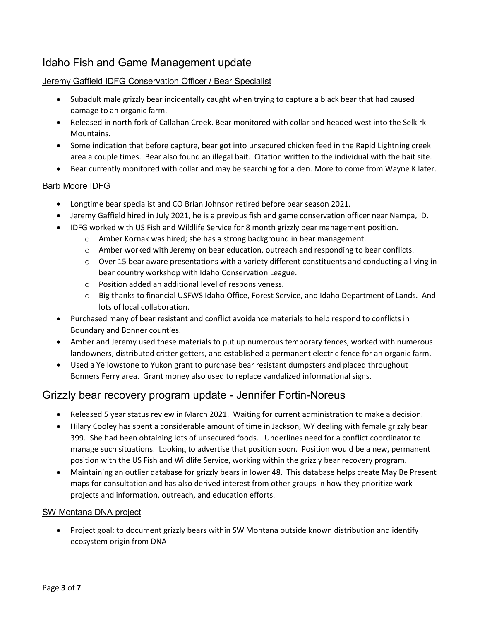# Idaho Fish and Game Management update

## Jeremy Gaffield IDFG Conservation Officer / Bear Specialist

- Subadult male grizzly bear incidentally caught when trying to capture a black bear that had caused damage to an organic farm.
- Released in north fork of Callahan Creek. Bear monitored with collar and headed west into the Selkirk Mountains.
- Some indication that before capture, bear got into unsecured chicken feed in the Rapid Lightning creek area a couple times. Bear also found an illegal bait. Citation written to the individual with the bait site.
- Bear currently monitored with collar and may be searching for a den. More to come from Wayne K later.

## Barb Moore IDFG

- Longtime bear specialist and CO Brian Johnson retired before bear season 2021.
- Jeremy Gaffield hired in July 2021, he is a previous fish and game conservation officer near Nampa, ID.
- IDFG worked with US Fish and Wildlife Service for 8 month grizzly bear management position.
	- $\circ$  Amber Kornak was hired; she has a strong background in bear management.
	- o Amber worked with Jeremy on bear education, outreach and responding to bear conflicts.
	- $\circ$  Over 15 bear aware presentations with a variety different constituents and conducting a living in bear country workshop with Idaho Conservation League.
	- o Position added an additional level of responsiveness.
	- o Big thanks to financial USFWS Idaho Office, Forest Service, and Idaho Department of Lands. And lots of local collaboration.
- Purchased many of bear resistant and conflict avoidance materials to help respond to conflicts in Boundary and Bonner counties.
- Amber and Jeremy used these materials to put up numerous temporary fences, worked with numerous landowners, distributed critter getters, and established a permanent electric fence for an organic farm.
- Used a Yellowstone to Yukon grant to purchase bear resistant dumpsters and placed throughout Bonners Ferry area. Grant money also used to replace vandalized informational signs.

## Grizzly bear recovery program update - Jennifer Fortin-Noreus

- Released 5 year status review in March 2021. Waiting for current administration to make a decision.
- Hilary Cooley has spent a considerable amount of time in Jackson, WY dealing with female grizzly bear 399. She had been obtaining lots of unsecured foods. Underlines need for a conflict coordinator to manage such situations. Looking to advertise that position soon. Position would be a new, permanent position with the US Fish and Wildlife Service, working within the grizzly bear recovery program.
- Maintaining an outlier database for grizzly bears in lower 48. This database helps create May Be Present maps for consultation and has also derived interest from other groups in how they prioritize work projects and information, outreach, and education efforts.

## SW Montana DNA project

• Project goal: to document grizzly bears within SW Montana outside known distribution and identify ecosystem origin from DNA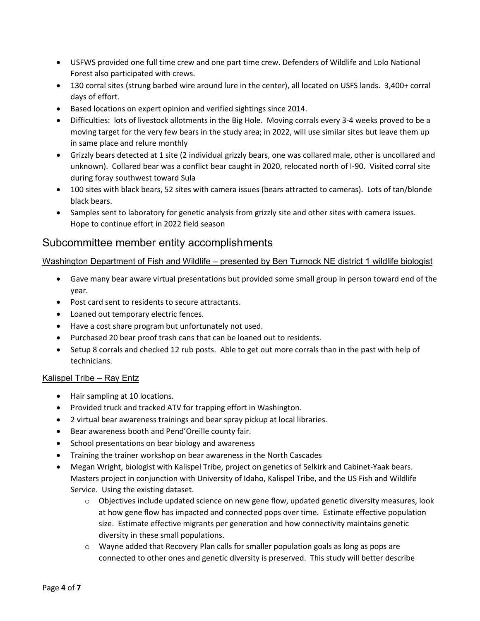- USFWS provided one full time crew and one part time crew. Defenders of Wildlife and Lolo National Forest also participated with crews.
- 130 corral sites (strung barbed wire around lure in the center), all located on USFS lands. 3,400+ corral days of effort.
- Based locations on expert opinion and verified sightings since 2014.
- Difficulties: lots of livestock allotments in the Big Hole. Moving corrals every 3-4 weeks proved to be a moving target for the very few bears in the study area; in 2022, will use similar sites but leave them up in same place and relure monthly
- Grizzly bears detected at 1 site (2 individual grizzly bears, one was collared male, other is uncollared and unknown). Collared bear was a conflict bear caught in 2020, relocated north of I-90. Visited corral site during foray southwest toward Sula
- 100 sites with black bears, 52 sites with camera issues (bears attracted to cameras). Lots of tan/blonde black bears.
- Samples sent to laboratory for genetic analysis from grizzly site and other sites with camera issues. Hope to continue effort in 2022 field season

## Subcommittee member entity accomplishments

## Washington Department of Fish and Wildlife – presented by Ben Turnock NE district 1 wildlife biologist

- Gave many bear aware virtual presentations but provided some small group in person toward end of the year.
- Post card sent to residents to secure attractants.
- Loaned out temporary electric fences.
- Have a cost share program but unfortunately not used.
- Purchased 20 bear proof trash cans that can be loaned out to residents.
- Setup 8 corrals and checked 12 rub posts. Able to get out more corrals than in the past with help of technicians.

## Kalispel Tribe – Ray Entz

- Hair sampling at 10 locations.
- Provided truck and tracked ATV for trapping effort in Washington.
- 2 virtual bear awareness trainings and bear spray pickup at local libraries.
- Bear awareness booth and Pend'Oreille county fair.
- School presentations on bear biology and awareness
- Training the trainer workshop on bear awareness in the North Cascades
- Megan Wright, biologist with Kalispel Tribe, project on genetics of Selkirk and Cabinet-Yaak bears. Masters project in conjunction with University of Idaho, Kalispel Tribe, and the US Fish and Wildlife Service. Using the existing dataset.
	- $\circ$  Objectives include updated science on new gene flow, updated genetic diversity measures, look at how gene flow has impacted and connected pops over time. Estimate effective population size. Estimate effective migrants per generation and how connectivity maintains genetic diversity in these small populations.
	- $\circ$  Wayne added that Recovery Plan calls for smaller population goals as long as pops are connected to other ones and genetic diversity is preserved. This study will better describe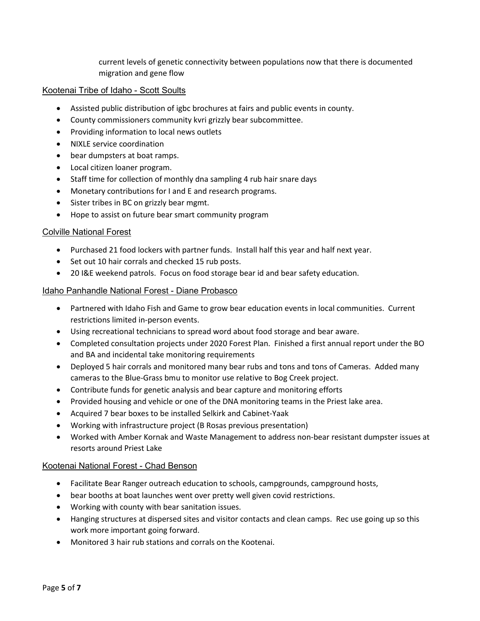current levels of genetic connectivity between populations now that there is documented migration and gene flow

#### Kootenai Tribe of Idaho - Scott Soults

- Assisted public distribution of igbc brochures at fairs and public events in county.
- County commissioners community kvri grizzly bear subcommittee.
- Providing information to local news outlets
- NIXLE service coordination
- bear dumpsters at boat ramps.
- Local citizen loaner program.
- Staff time for collection of monthly dna sampling 4 rub hair snare days
- Monetary contributions for I and E and research programs.
- Sister tribes in BC on grizzly bear mgmt.
- Hope to assist on future bear smart community program

#### Colville National Forest

- Purchased 21 food lockers with partner funds. Install half this year and half next year.
- Set out 10 hair corrals and checked 15 rub posts.
- 20 I&E weekend patrols. Focus on food storage bear id and bear safety education.

#### Idaho Panhandle National Forest - Diane Probasco

- Partnered with Idaho Fish and Game to grow bear education events in local communities. Current restrictions limited in-person events.
- Using recreational technicians to spread word about food storage and bear aware.
- Completed consultation projects under 2020 Forest Plan. Finished a first annual report under the BO and BA and incidental take monitoring requirements
- Deployed 5 hair corrals and monitored many bear rubs and tons and tons of Cameras. Added many cameras to the Blue-Grass bmu to monitor use relative to Bog Creek project.
- Contribute funds for genetic analysis and bear capture and monitoring efforts
- Provided housing and vehicle or one of the DNA monitoring teams in the Priest lake area.
- Acquired 7 bear boxes to be installed Selkirk and Cabinet-Yaak
- Working with infrastructure project (B Rosas previous presentation)
- Worked with Amber Kornak and Waste Management to address non-bear resistant dumpster issues at resorts around Priest Lake

#### Kootenai National Forest - Chad Benson

- Facilitate Bear Ranger outreach education to schools, campgrounds, campground hosts,
- bear booths at boat launches went over pretty well given covid restrictions.
- Working with county with bear sanitation issues.
- Hanging structures at dispersed sites and visitor contacts and clean camps. Rec use going up so this work more important going forward.
- Monitored 3 hair rub stations and corrals on the Kootenai.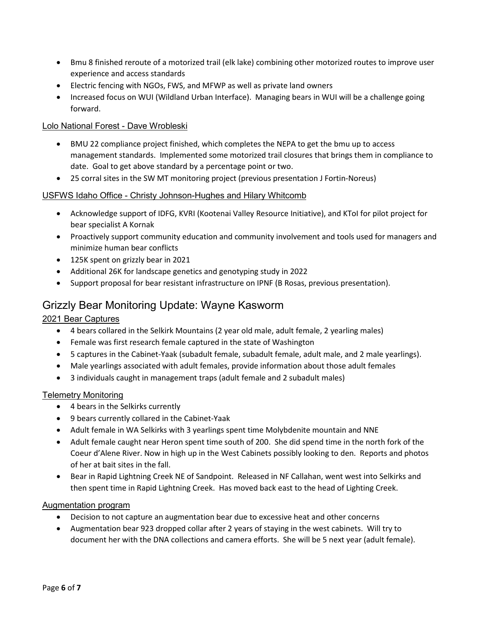- Bmu 8 finished reroute of a motorized trail (elk lake) combining other motorized routes to improve user experience and access standards
- Electric fencing with NGOs, FWS, and MFWP as well as private land owners
- Increased focus on WUI (Wildland Urban Interface). Managing bears in WUI will be a challenge going forward.

## Lolo National Forest - Dave Wrobleski

- BMU 22 compliance project finished, which completes the NEPA to get the bmu up to access management standards. Implemented some motorized trail closures that brings them in compliance to date. Goal to get above standard by a percentage point or two.
- 25 corral sites in the SW MT monitoring project (previous presentation J Fortin-Noreus)

#### USFWS Idaho Office - Christy Johnson-Hughes and Hilary Whitcomb

- Acknowledge support of IDFG, KVRI (Kootenai Valley Resource Initiative), and KToI for pilot project for bear specialist A Kornak
- Proactively support community education and community involvement and tools used for managers and minimize human bear conflicts
- 125K spent on grizzly bear in 2021
- Additional 26K for landscape genetics and genotyping study in 2022
- Support proposal for bear resistant infrastructure on IPNF (B Rosas, previous presentation).

## Grizzly Bear Monitoring Update: Wayne Kasworm

## 2021 Bear Captures

- 4 bears collared in the Selkirk Mountains (2 year old male, adult female, 2 yearling males)
- Female was first research female captured in the state of Washington
- 5 captures in the Cabinet-Yaak (subadult female, subadult female, adult male, and 2 male yearlings).
- Male yearlings associated with adult females, provide information about those adult females
- 3 individuals caught in management traps (adult female and 2 subadult males)

#### Telemetry Monitoring

- 4 bears in the Selkirks currently
- 9 bears currently collared in the Cabinet-Yaak
- Adult female in WA Selkirks with 3 yearlings spent time Molybdenite mountain and NNE
- Adult female caught near Heron spent time south of 200. She did spend time in the north fork of the Coeur d'Alene River. Now in high up in the West Cabinets possibly looking to den. Reports and photos of her at bait sites in the fall.
- Bear in Rapid Lightning Creek NE of Sandpoint. Released in NF Callahan, went west into Selkirks and then spent time in Rapid Lightning Creek. Has moved back east to the head of Lighting Creek.

#### Augmentation program

- Decision to not capture an augmentation bear due to excessive heat and other concerns
- Augmentation bear 923 dropped collar after 2 years of staying in the west cabinets. Will try to document her with the DNA collections and camera efforts. She will be 5 next year (adult female).